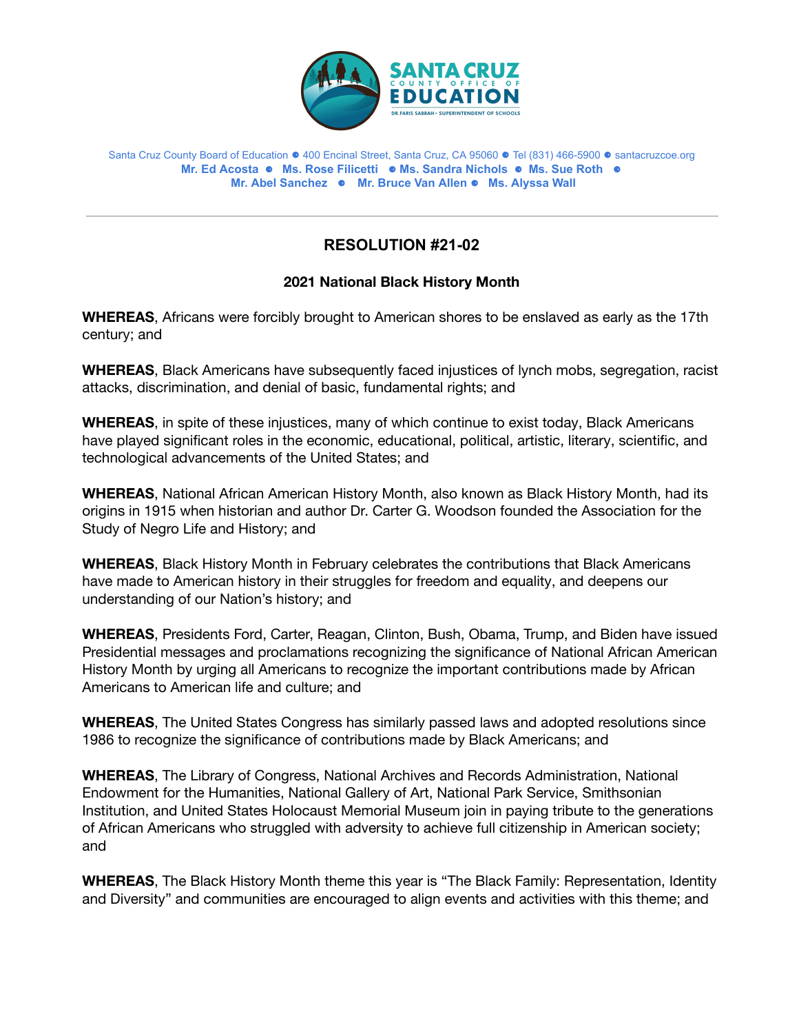

## Santa Cruz County Board of Education ⚈ 400 Encinal Street, Santa Cruz, CA 95060 ⚈ Tel (831) 466-5900 ⚈ [santacruzcoe.org](https://santacruzcoe.org)   **Mr. Ed Acosta** ⚈ **Ms. Rose Filicetti** ⚈ **Ms. Sandra Nichols** ⚈ **Ms. Sue Roth** ⚈ **Mr. Abel Sanchez** ⚈ **Mr. Bruce Van Allen** ⚈ **Ms. Alyssa Wall**

## **RESOLUTION #21-02**

## **2021 National Black History Month**

Africans were forcibly brought to American shores to be enslaved as early as the 17th century; and **2021 National Black History Month<br>WHEREAS**, Africans were forcibly brought to American shores to be enslaved as early as the 17th<br>century; and

 **WHEREAS**, Black Americans have subsequently faced injustices of lynch mobs, segregation, racist attacks, discrimination, and denial of basic, fundamental rights; and

**WHEREAS**, in spite of these injustices, many of which continue to exist today, Black Americans played significant roles in the economic, educational, political, artistic, literary, scientific, and technological advancements of the United States; and **WHEREAS**, in spite of these injustices, many of which continue to exist today, Black Americans<br>have played significant roles in the economic, educational, political, artistic, literary, scientific, and<br>technological advan

**WHEREAS, National African American History Month, also known as Black History Month, had its WHEREAS**, National African American History Month, also known as Black History Month, had its<br>origins in 1915 when historian and author Dr. Carter G. Woodson founded the Association for the Study of Negro Life and History; and

 **WHEREAS**, Black History Month in February celebrates the contributions that Black Americans have made to American history in their struggles for freedom and equality, and deepens our<br>understanding of our Nation's history; and understanding of our Nation's history; and

**WHEREAS, Presidents Ford, Carter, Reagan, Clinton, Bush, Obama, Trump, and Biden have issued** messages and proclamations recognizing the significance of National African American History Month by urging all Americans to recognize the important contributions made by African Americans to American life and culture: and WHEREAS, Presidents Ford, Carter, Reagan, Clinton, Bush, Obama, Trump, and Biden have issued<br>Presidential messages and proclamations recognizing the significance of National African American<br>History Month by urging all Ame

**WHEREAS**, The United States Congress has similarly passed laws and adopted resolutions since<br>1986 to recognize the significance of contributions made by Black Americans; and 1986 to recognize the significance of contributions made by Black Americans; and

**WHEREAS,** The Library of Congress, National Archives and Records Administration, National Endowment for the Humanities, National Gallery of Art, National Park Service, Smithsonian and United States Holocaust Memorial Museum join in paying tribute to the generations of African Americans who struggled with adversity to achieve full citizenship in American society; and WHEREAS, The Library of Congress, National Archives and Records Administration, National<br>Endowment for the Humanities, National Gallery of Art, National Park Service, Smithsonian<br>Institution, and United States Holocaust Me

 **WHEREAS**, The Black History Month theme this year is "The Black Family: Representation, Identity and Diversity" and communities are encouraged to align events and activities with this theme; and